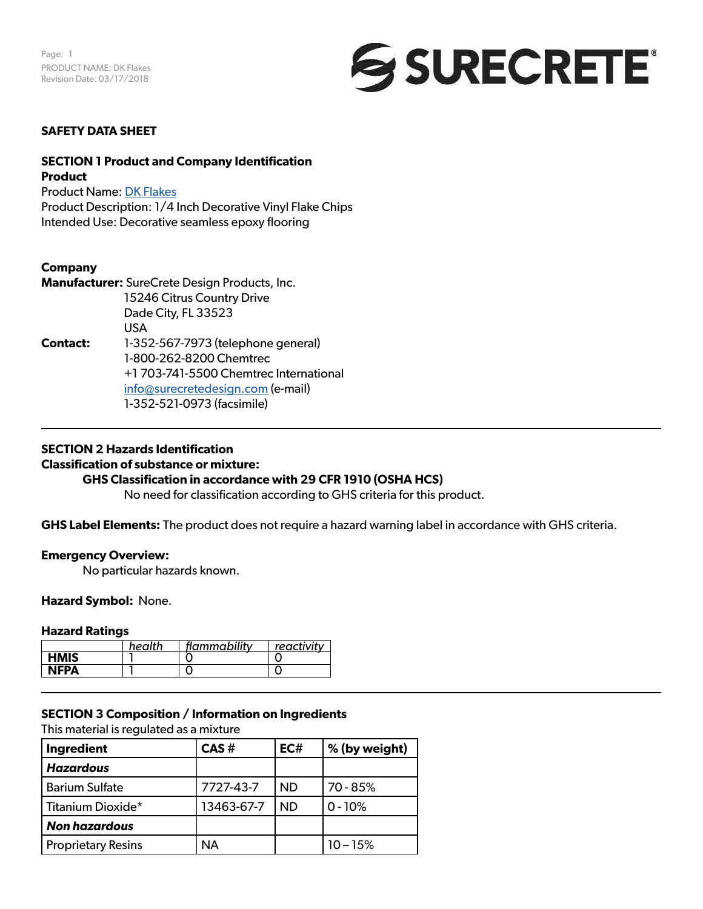

## **SAFETY DATA SHEET**

## **SECTION 1 Product and Company Identification Product**

Product Name: [DK Flakes](https://www.surecretedesign.com/product/floor-flake-chips/) Product Description: 1/4 Inch Decorative Vinyl Flake Chips Intended Use: Decorative seamless epoxy flooring

## **Company**

**Manufacturer:** SureCrete Design Products, Inc. 15246 Citrus Country Drive Dade City, FL 33523 USA **Contact:** 1-352-567-7973 (telephone general) 1-800-262-8200 Chemtrec +1 703-741-5500 Chemtrec International [info@surecretedesign.com](mailto:info%40surecretedesign.com?subject=DK%20Flakes%20-%20SDS%20Inquiry) (e-mail) 1-352-521-0973 (facsimile)

## **SECTION 2 Hazards Identification**

#### **Classification of substance or mixture:**

## **GHS Classification in accordance with 29 CFR 1910 (OSHA HCS)**

No need for classification according to GHS criteria for this product.

**GHS Label Elements:** The product does not require a hazard warning label in accordance with GHS criteria.

## **Emergency Overview:**

No particular hazards known.

#### **Hazard Symbol:** None.

## **Hazard Ratings**

|             | health | flammability | reactivity |
|-------------|--------|--------------|------------|
| <b>HMIS</b> |        |              |            |
| <b>NFPA</b> |        |              |            |

## **SECTION 3 Composition / Information on Ingredients**

This material is regulated as a mixture

| Ingredient                | CAS#       | EC#       | % (by weight) |  |
|---------------------------|------------|-----------|---------------|--|
| <b>Hazardous</b>          |            |           |               |  |
| <b>Barium Sulfate</b>     | 7727-43-7  | <b>ND</b> | 70 - 85%      |  |
| Titanium Dioxide*         | 13463-67-7 | <b>ND</b> | $0 - 10%$     |  |
| <b>Non hazardous</b>      |            |           |               |  |
| <b>Proprietary Resins</b> | ΝA         |           | $10 - 15%$    |  |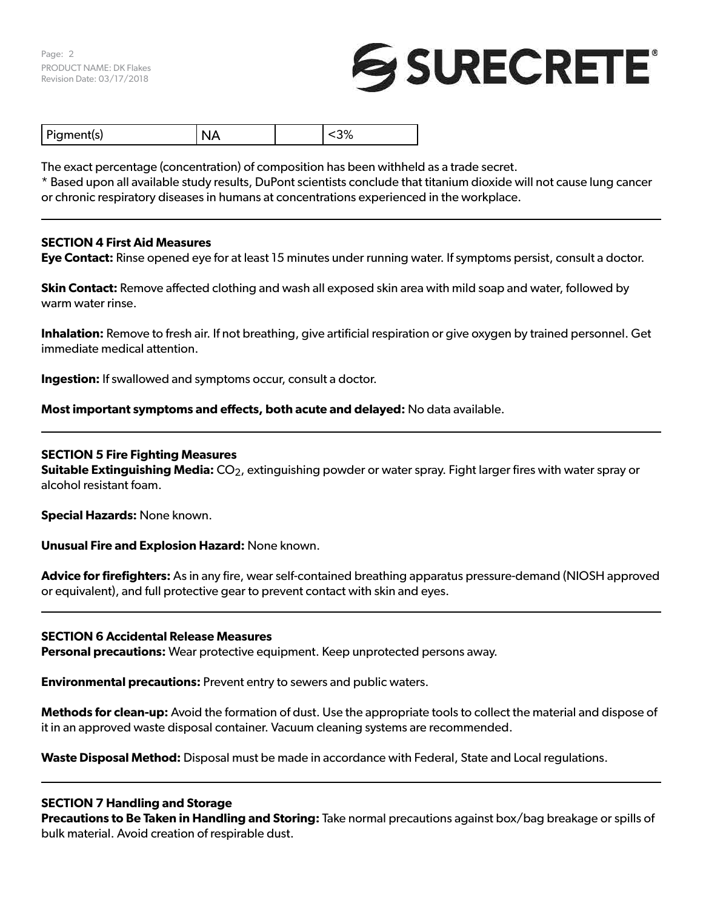Page: 2 PRODUCT NAME: DK Flakes Revision Date: 03/17/2018

# SURECRETE®

The exact percentage (concentration) of composition has been withheld as a trade secret.

\* Based upon all available study results, DuPont scientists conclude that titanium dioxide will not cause lung cancer or chronic respiratory diseases in humans at concentrations experienced in the workplace.

## **SECTION 4 First Aid Measures**

**Eye Contact:** Rinse opened eye for at least 15 minutes under running water. If symptoms persist, consult a doctor.

**Skin Contact:** Remove affected clothing and wash all exposed skin area with mild soap and water, followed by warm water rinse.

**Inhalation:** Remove to fresh air. If not breathing, give artificial respiration or give oxygen by trained personnel. Get immediate medical attention.

**Ingestion:** If swallowed and symptoms occur, consult a doctor.

**Most important symptoms and effects, both acute and delayed:** No data available.

## **SECTION 5 Fire Fighting Measures**

**Suitable Extinguishing Media:** CO<sub>2</sub>, extinguishing powder or water spray. Fight larger fires with water spray or alcohol resistant foam.

**Special Hazards:** None known.

**Unusual Fire and Explosion Hazard:** None known.

**Advice for firefighters:** As in any fire, wear self-contained breathing apparatus pressure-demand (NIOSH approved or equivalent), and full protective gear to prevent contact with skin and eyes.

#### **SECTION 6 Accidental Release Measures**

**Personal precautions:** Wear protective equipment. Keep unprotected persons away.

**Environmental precautions:** Prevent entry to sewers and public waters.

**Methods for clean-up:** Avoid the formation of dust. Use the appropriate tools to collect the material and dispose of it in an approved waste disposal container. Vacuum cleaning systems are recommended.

**Waste Disposal Method:** Disposal must be made in accordance with Federal, State and Local regulations.

## **SECTION 7 Handling and Storage**

**Precautions to Be Taken in Handling and Storing:** Take normal precautions against box/bag breakage or spills of bulk material. Avoid creation of respirable dust.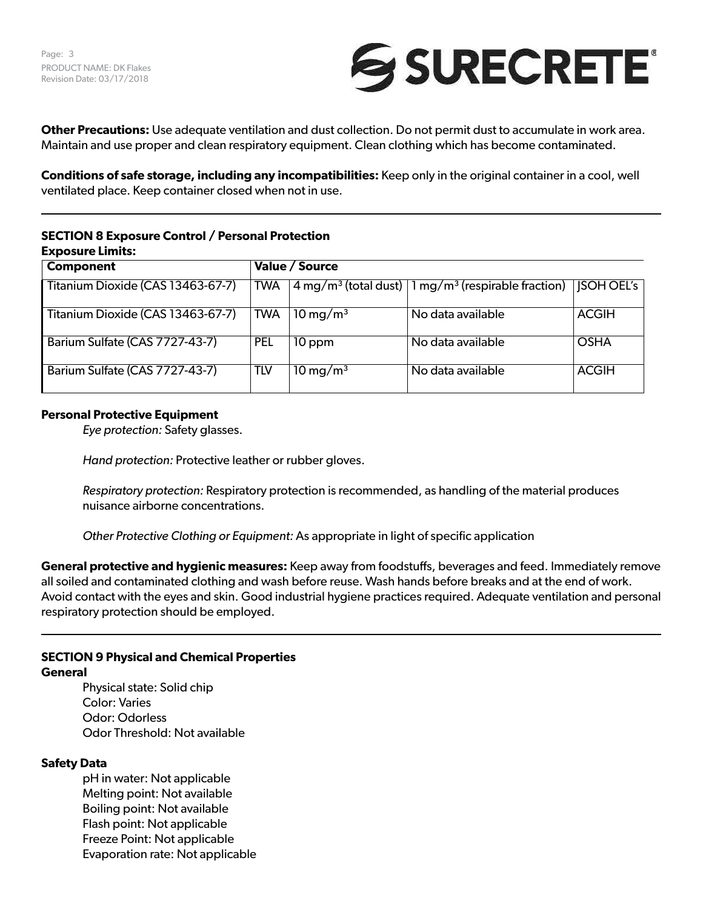

**Other Precautions:** Use adequate ventilation and dust collection. Do not permit dust to accumulate in work area. Maintain and use proper and clean respiratory equipment. Clean clothing which has become contaminated.

**Conditions of safe storage, including any incompatibilities:** Keep only in the original container in a cool, well ventilated place. Keep container closed when not in use.

# **SECTION 8 Exposure Control / Personal Protection Exposure Limits:**

| <b>Component</b>                  |            | Value / Source         |                                                                                                      |                   |
|-----------------------------------|------------|------------------------|------------------------------------------------------------------------------------------------------|-------------------|
| Titanium Dioxide (CAS 13463-67-7) | TWA        |                        | $\sqrt{4 \text{ mg/m}^3 \text{(total dust)}}$ $\sqrt{1 \text{ mg/m}^3 \text{(respirable fraction)}}$ | <b>ISOH OEL's</b> |
| Titanium Dioxide (CAS 13463-67-7) | TWA        | $10 \,\mathrm{mg/m^3}$ | No data available                                                                                    | <b>ACGIH</b>      |
| Barium Sulfate (CAS 7727-43-7)    | <b>PEL</b> | 10 ppm                 | No data available                                                                                    | <b>OSHA</b>       |
| Barium Sulfate (CAS 7727-43-7)    | tlv        | $10 \,\mathrm{mg/m^3}$ | No data available                                                                                    | <b>ACGIH</b>      |

# **Personal Protective Equipment**

*Eye protection:* Safety glasses.

*Hand protection:* Protective leather or rubber gloves.

*Respiratory protection:* Respiratory protection is recommended, as handling of the material produces nuisance airborne concentrations.

*Other Protective Clothing or Equipment:* As appropriate in light of specific application

**General protective and hygienic measures:** Keep away from foodstuffs, beverages and feed. Immediately remove all soiled and contaminated clothing and wash before reuse. Wash hands before breaks and at the end of work. Avoid contact with the eyes and skin. Good industrial hygiene practices required. Adequate ventilation and personal respiratory protection should be employed.

# **SECTION 9 Physical and Chemical Properties**

## **General**

Physical state: Solid chip Color: Varies Odor: Odorless Odor Threshold: Not available

## **Safety Data**

pH in water: Not applicable Melting point: Not available Boiling point: Not available Flash point: Not applicable Freeze Point: Not applicable Evaporation rate: Not applicable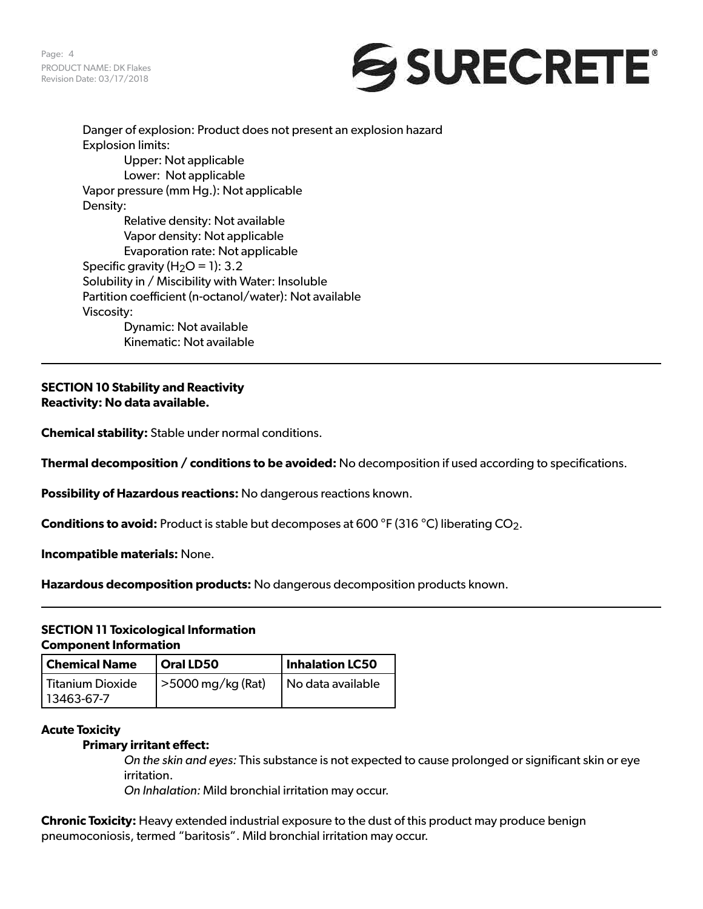Page: 4 PRODUCT NAME: DK Flakes Revision Date: 03/17/2018



Danger of explosion: Product does not present an explosion hazard Explosion limits: Upper: Not applicable Lower: Not applicable Vapor pressure (mm Hg.): Not applicable Density: Relative density: Not available Vapor density: Not applicable Evaporation rate: Not applicable Specific gravity  $(H_2O = 1)$ : 3.2 Solubility in / Miscibility with Water: Insoluble Partition coefficient (n-octanol/water): Not available Viscosity: Dynamic: Not available Kinematic: Not available

**SECTION 10 Stability and Reactivity Reactivity: No data available.**

**Chemical stability:** Stable under normal conditions.

**Thermal decomposition / conditions to be avoided:** No decomposition if used according to specifications.

**Possibility of Hazardous reactions:** No dangerous reactions known.

**Conditions to avoid:** Product is stable but decomposes at 600 °F (316 °C) liberating CO<sub>2</sub>.

**Incompatible materials:** None.

**Hazardous decomposition products:** No dangerous decomposition products known.

# **SECTION 11 Toxicological Information Component Information**

| <b>Chemical Name</b>             | Oral LD50                 | Inhalation LC50   |  |
|----------------------------------|---------------------------|-------------------|--|
| Titanium Dioxide<br>  13463-67-7 | $\vert$ >5000 mg/kg (Rat) | No data available |  |

#### **Acute Toxicity**

## **Primary irritant effect:**

*On the skin and eyes:* This substance is not expected to cause prolonged or significant skin or eye irritation.

*On Inhalation:* Mild bronchial irritation may occur.

**Chronic Toxicity:** Heavy extended industrial exposure to the dust of this product may produce benign pneumoconiosis, termed "baritosis". Mild bronchial irritation may occur.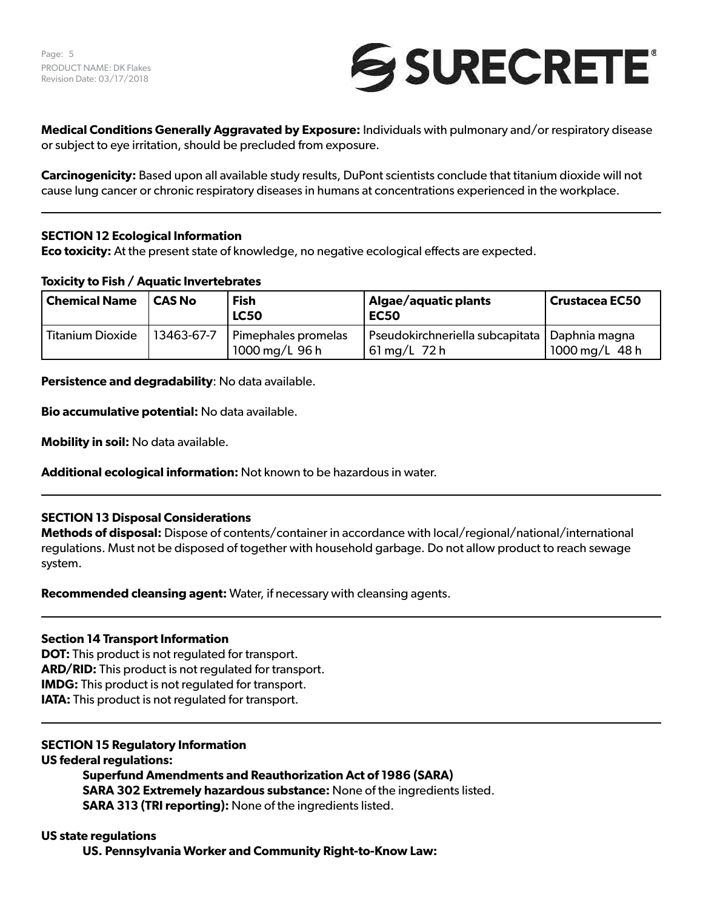

**Medical Conditions Generally Aggravated by Exposure:** Individuals with pulmonary and/or respiratory disease or subject to eye irritation, should be precluded from exposure.

**Carcinogenicity:** Based upon all available study results, DuPont scientists conclude that titanium dioxide will not cause lung cancer or chronic respiratory diseases in humans at concentrations experienced in the workplace.

# **SECTION 12 Ecological Information**

**Eco toxicity:** At the present state of knowledge, no negative ecological effects are expected.

## **Toxicity to Fish / Aquatic Invertebrates**

| Chemical Name           | l CAS No   | <b>Fish</b><br><b>LC50</b>            | Algae/aquatic plants<br>EC50                                                 | Crustacea EC50 |
|-------------------------|------------|---------------------------------------|------------------------------------------------------------------------------|----------------|
| <b>Titanium Dioxide</b> | 13463-67-7 | Pimephales promelas<br>1000 mg/L 96 h | Pseudokirchneriella subcapitata   Daphnia magna<br>$61 \,\mathrm{mg/L}$ 72 h | 1000 mg/L 48 h |

**Persistence and degradability**: No data available.

**Bio accumulative potential:** No data available.

**Mobility in soil:** No data available.

**Additional ecological information:** Not known to be hazardous in water.

# **SECTION 13 Disposal Considerations**

**Methods of disposal:** Dispose of contents/container in accordance with local/regional/national/international regulations. Must not be disposed of together with household garbage. Do not allow product to reach sewage system.

**Recommended cleansing agent:** Water, if necessary with cleansing agents.

## **Section 14 Transport Information**

**DOT:** This product is not regulated for transport. **ARD/RID:** This product is not regulated for transport. **IMDG:** This product is not regulated for transport. **IATA:** This product is not regulated for transport.

# **SECTION 15 Regulatory Information**

**US federal regulations:**

**Superfund Amendments and Reauthorization Act of 1986 (SARA) SARA 302 Extremely hazardous substance:** None of the ingredients listed. **SARA 313 (TRI reporting):** None of the ingredients listed.

## **US state regulations**

**US. Pennsylvania Worker and Community Right-to-Know Law:**